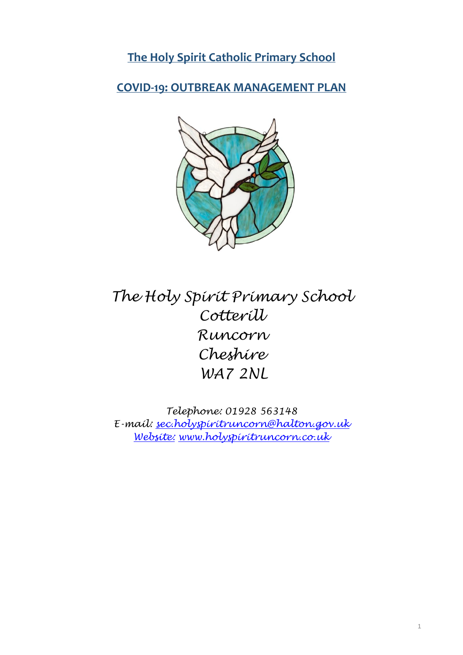**The Holy Spirit Catholic Primary School** 

**COVID-19: OUTBREAK MANAGEMENT PLAN**



*The Holy Spirit Primary School Cotterill Runcorn Cheshire WA7 2NL*

*Telephone: 01928 563148 E-mail: [sec.holyspiritruncorn@halton.gov.uk](mailto:sec.holyspiritruncorn@halton.gov.uk) Website: [www.holyspiritruncorn.co.uk](http://www.holyspiritruncorn.co.uk/)*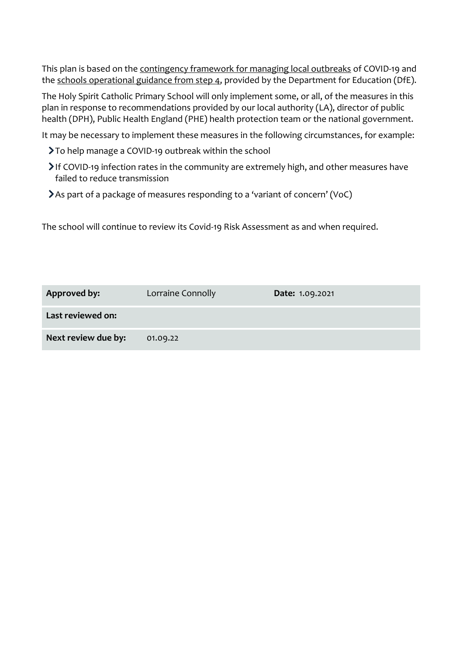This plan is based on th[e contingency framework for managing local outbreaks](https://www.gov.uk/government/publications/coronavirus-covid-19-local-restrictions-in-education-and-childcare-settings) of COVID-19 and the [schools operational guidance from step 4,](https://www.gov.uk/government/publications/actions-for-schools-during-the-coronavirus-outbreak) provided by the Department for Education (DfE).

The Holy Spirit Catholic Primary School will only implement some, or all, of the measures in this plan in response to recommendations provided by our local authority (LA), director of public health (DPH), Public Health England (PHE) health protection team or the national government.

It may be necessary to implement these measures in the following circumstances, for example:

- To help manage a COVID-19 outbreak within the school
- If COVID-19 infection rates in the community are extremely high, and other measures have failed to reduce transmission
- As part of a package of measures responding to a 'variant of concern' (VoC)

The school will continue to review its Covid-19 Risk Assessment as and when required.

| Approved by:        | Lorraine Connolly | <b>Date: 1.09.2021</b> |
|---------------------|-------------------|------------------------|
| Last reviewed on:   |                   |                        |
| Next review due by: | 01.09.22          |                        |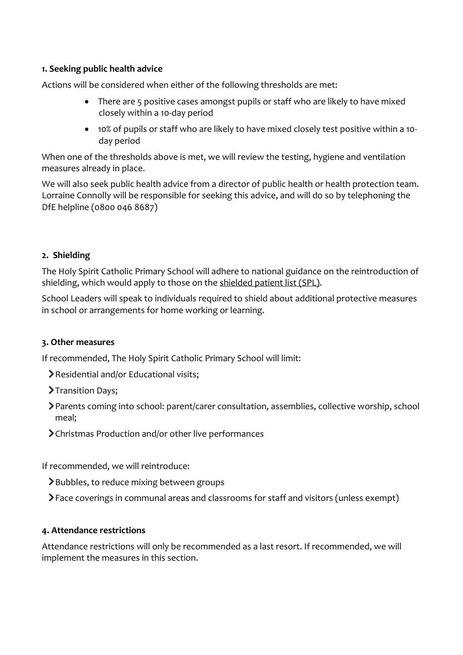### **1. Seeking public health advice**

Actions will be considered when either of the following thresholds are met:

- There are 5 positive cases amongst pupils or staff who are likely to have mixed closely within a 10-day period
- 10% of pupils or staff who are likely to have mixed closely test positive within a 10 day period

When one of the thresholds above is met, we will review the testing, hygiene and ventilation measures already in place.

We will also seek public health advice from a director of public health or health protection team. Lorraine Connolly will be responsible for seeking this advice, and will do so by telephoning the DfE helpline (0800 046 8687)

### **2. Shielding**

The Holy Spirit Catholic Primary School will adhere to national guidance on the reintroduction of shielding, which would apply to those on the shielded [patient list \(SPL\).](https://digital.nhs.uk/coronavirus/shielded-patient-list)

School Leaders will speak to individuals required to shield about additional protective measures in school or arrangements for home working or learning.

#### **3. Other measures**

If recommended, The Holy Spirit Catholic Primary School will limit:

- Residential and/or Educational visits;
- >Transition Days;
- Parents coming into school: parent/carer consultation, assemblies, collective worship, school meal;
- Christmas Production and/or other live performances

If recommended, we will reintroduce:

- Bubbles, to reduce mixing between groups
- Face coverings in communal areas and classrooms for staff and visitors (unless exempt)

#### **4. Attendance restrictions**

Attendance restrictions will only be recommended as a last resort. If recommended, we will implement the measures in this section.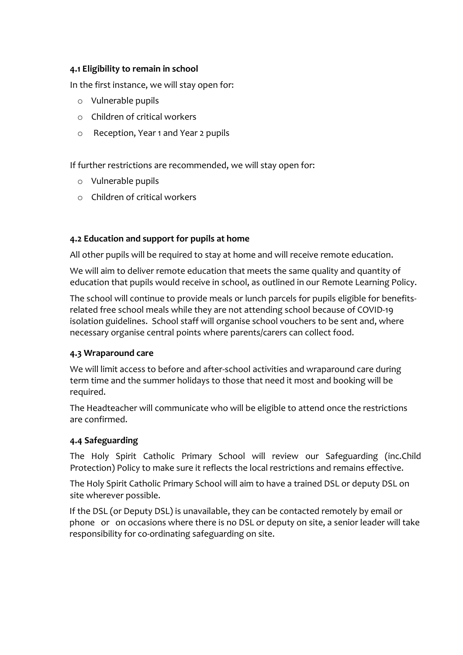### **4.1 Eligibility to remain in school**

In the first instance, we will stay open for:

- o Vulnerable pupils
- o Children of critical workers
- o Reception, Year 1 and Year 2 pupils

If further restrictions are recommended, we will stay open for:

- o Vulnerable pupils
- o Children of critical workers

# **4.2 Education and support for pupils at home**

All other pupils will be required to stay at home and will receive remote education.

We will aim to deliver remote education that meets the same quality and quantity of education that pupils would receive in school, as outlined in our Remote Learning Policy.

The school will continue to provide meals or lunch parcels for pupils eligible for benefitsrelated free school meals while they are not attending school because of COVID-19 isolation guidelines. School staff will organise school vouchers to be sent and, where necessary organise central points where parents/carers can collect food.

# **4.3 Wraparound care**

We will limit access to before and after-school activities and wraparound care during term time and the summer holidays to those that need it most and booking will be required.

The Headteacher will communicate who will be eligible to attend once the restrictions are confirmed.

# **4.4 Safeguarding**

The Holy Spirit Catholic Primary School will review our Safeguarding (inc.Child Protection) Policy to make sure it reflects the local restrictions and remains effective.

The Holy Spirit Catholic Primary School will aim to have a trained DSL or deputy DSL on site wherever possible.

If the DSL (or Deputy DSL) is unavailable, they can be contacted remotely by email or phone or on occasions where there is no DSL or deputy on site, a senior leader will take responsibility for co-ordinating safeguarding on site.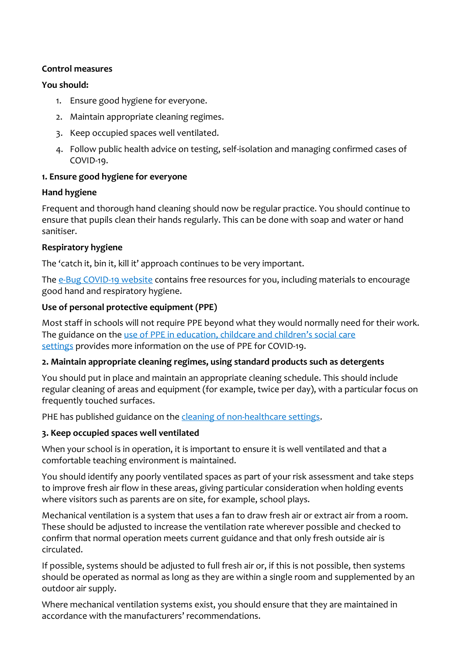### **Control measures**

### **You should:**

- 1. Ensure good hygiene for everyone.
- 2. Maintain appropriate cleaning regimes.
- 3. Keep occupied spaces well ventilated.
- 4. Follow public health advice on testing, self-isolation and managing confirmed cases of COVID-19.

### **1. Ensure good hygiene for everyone**

### **Hand hygiene**

Frequent and thorough hand cleaning should now be regular practice. You should continue to ensure that pupils clean their hands regularly. This can be done with soap and water or hand sanitiser.

# **Respiratory hygiene**

The 'catch it, bin it, kill it' approach continues to be very important.

The [e-Bug COVID-19 website](https://e-bug.eu/eng_home.aspx?cc=eng&ss=1&t=Information%20about%20the%20Coronavirus) contains free resources for you, including materials to encourage good hand and respiratory hygiene.

# **Use of personal protective equipment (PPE)**

Most staff in schools will not require PPE beyond what they would normally need for their work. The guidance on the use of PPE in education, childcare and children's social care [settings](https://www.gov.uk/government/publications/safe-working-in-education-childcare-and-childrens-social-care) provides more information on the use of PPE for COVID-19.

# **2. Maintain appropriate cleaning regimes, using standard products such as detergents**

You should put in place and maintain an appropriate cleaning schedule. This should include regular cleaning of areas and equipment (for example, twice per day), with a particular focus on frequently touched surfaces.

PHE has published guidance on the [cleaning of non-healthcare settings.](https://www.gov.uk/government/publications/covid-19-decontamination-in-non-healthcare-settings)

# **3. Keep occupied spaces well ventilated**

When your school is in operation, it is important to ensure it is well ventilated and that a comfortable teaching environment is maintained.

You should identify any poorly ventilated spaces as part of your risk assessment and take steps to improve fresh air flow in these areas, giving particular consideration when holding events where visitors such as parents are on site, for example, school plays.

Mechanical ventilation is a system that uses a fan to draw fresh air or extract air from a room. These should be adjusted to increase the ventilation rate wherever possible and checked to confirm that normal operation meets current guidance and that only fresh outside air is circulated.

If possible, systems should be adjusted to full fresh air or, if this is not possible, then systems should be operated as normal as long as they are within a single room and supplemented by an outdoor air supply.

Where mechanical ventilation systems exist, you should ensure that they are maintained in accordance with the manufacturers' recommendations.